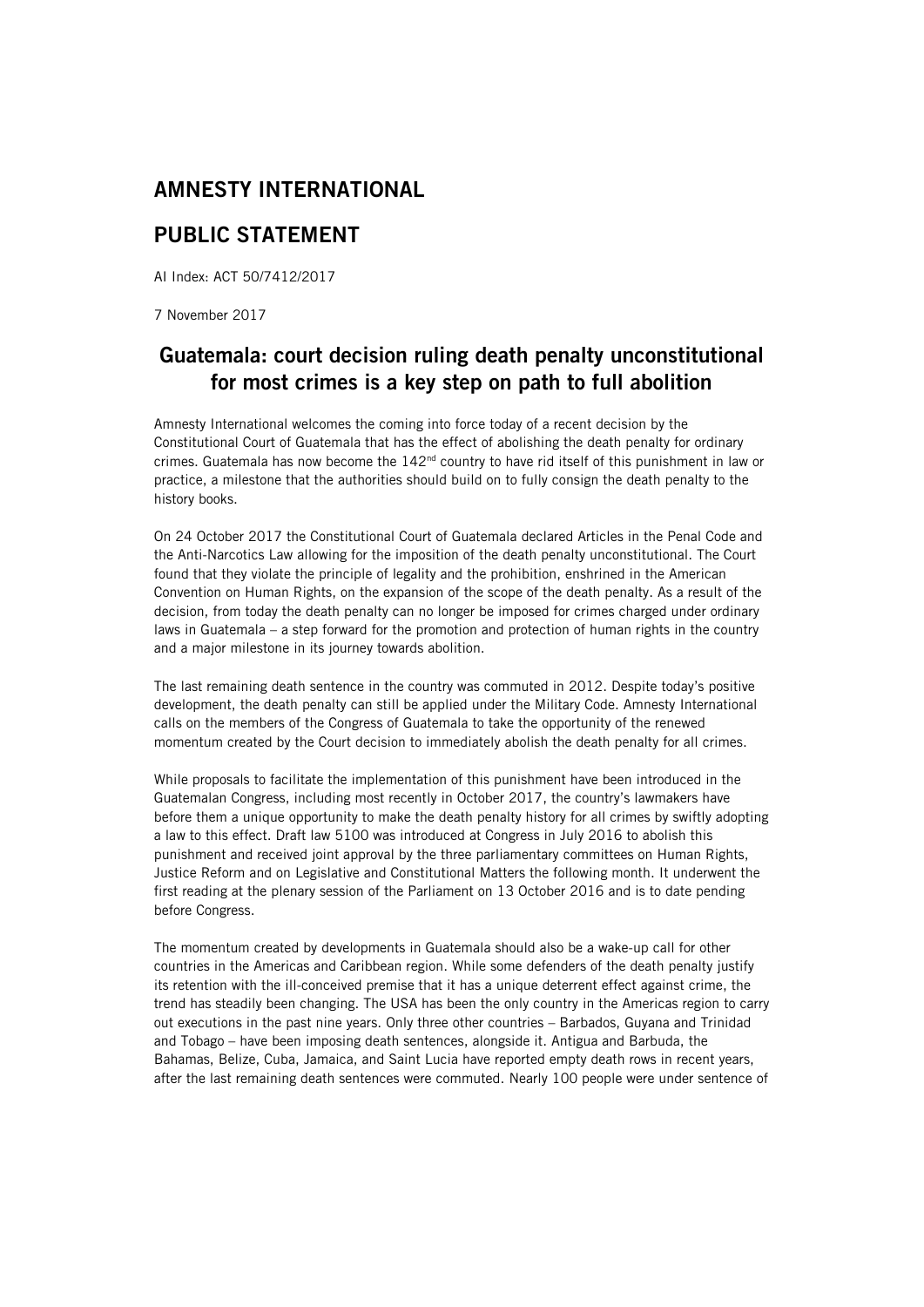## AMNESTY INTERNATIONAL

## PUBLIC STATEMENT

AI Index: ACT 50/7412/2017

7 November 2017

## Guatemala: court decision ruling death penalty unconstitutional for most crimes is a key step on path to full abolition

Amnesty International welcomes the coming into force today of a recent decision by the Constitutional Court of Guatemala that has the effect of abolishing the death penalty for ordinary crimes. Guatemala has now become the  $142<sup>nd</sup>$  country to have rid itself of this punishment in law or practice, a milestone that the authorities should build on to fully consign the death penalty to the history books.

On 24 October 2017 the Constitutional Court of Guatemala declared Articles in the Penal Code and the Anti-Narcotics Law allowing for the imposition of the death penalty unconstitutional. The Court found that they violate the principle of legality and the prohibition, enshrined in the American Convention on Human Rights, on the expansion of the scope of the death penalty. As a result of the decision, from today the death penalty can no longer be imposed for crimes charged under ordinary laws in Guatemala – a step forward for the promotion and protection of human rights in the country and a major milestone in its journey towards abolition.

The last remaining death sentence in the country was commuted in 2012. Despite today's positive development, the death penalty can still be applied under the Military Code. Amnesty International calls on the members of the Congress of Guatemala to take the opportunity of the renewed momentum created by the Court decision to immediately abolish the death penalty for all crimes.

While proposals to facilitate the implementation of this punishment have been introduced in the Guatemalan Congress, including most recently in October 2017, the country's lawmakers have before them a unique opportunity to make the death penalty history for all crimes by swiftly adopting a law to this effect. Draft law 5100 was introduced at Congress in July 2016 to abolish this punishment and received joint approval by the three parliamentary committees on Human Rights, Justice Reform and on Legislative and Constitutional Matters the following month. It underwent the first reading at the plenary session of the Parliament on 13 October 2016 and is to date pending before Congress.

The momentum created by developments in Guatemala should also be a wake-up call for other countries in the Americas and Caribbean region. While some defenders of the death penalty justify its retention with the ill-conceived premise that it has a unique deterrent effect against crime, the trend has steadily been changing. The USA has been the only country in the Americas region to carry out executions in the past nine years. Only three other countries – Barbados, Guyana and Trinidad and Tobago – have been imposing death sentences, alongside it. Antigua and Barbuda, the Bahamas, Belize, Cuba, Jamaica, and Saint Lucia have reported empty death rows in recent years, after the last remaining death sentences were commuted. Nearly 100 people were under sentence of